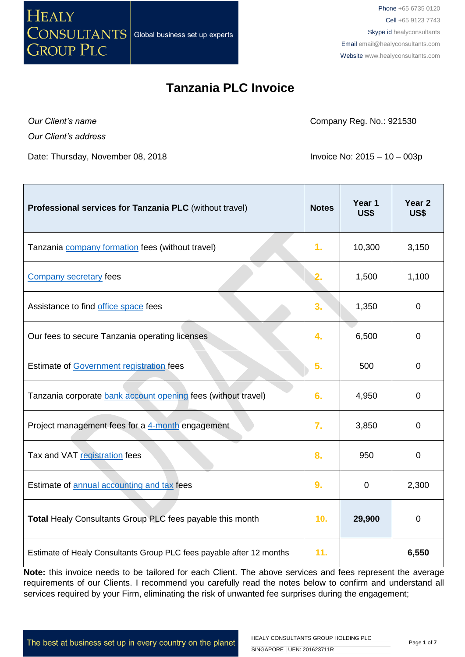

*Our Client's name*

*Our Client's address*

Date: Thursday, November 08, 2018 **Invoice No: 2015** - 10 – 003p

Company Reg. No.: 921530

| Professional services for Tanzania PLC (without travel)              | <b>Notes</b>    | Year 1<br><b>US\$</b> | Year <sub>2</sub><br>US\$ |
|----------------------------------------------------------------------|-----------------|-----------------------|---------------------------|
| Tanzania <b>company</b> formation fees (without travel)              | 1 <sub>r</sub>  | 10,300                | 3,150                     |
| <b>Company secretary fees</b>                                        | 2.              | 1,500                 | 1,100                     |
| Assistance to find office space fees                                 | 3.              | 1,350                 | 0                         |
| Our fees to secure Tanzania operating licenses                       | 4.              | 6,500                 | 0                         |
| Estimate of Government registration fees                             | 5.              | 500                   | 0                         |
| Tanzania corporate bank account opening fees (without travel)        | 6.              | 4,950                 | 0                         |
| Project management fees for a 4-month engagement                     | 7.              | 3,850                 | 0                         |
| Tax and VAT registration fees                                        | 8.              | 950                   | $\mathbf 0$               |
| Estimate of annual accounting and tax fees                           | 9.              | $\mathbf 0$           | 2,300                     |
| Total Healy Consultants Group PLC fees payable this month            | 10 <sub>1</sub> | 29,900                | 0                         |
| Estimate of Healy Consultants Group PLC fees payable after 12 months | 11.             |                       | 6,550                     |

**Note:** this invoice needs to be tailored for each Client. The above services and fees represent the average requirements of our Clients. I recommend you carefully read the notes below to confirm and understand all services required by your Firm, eliminating the risk of unwanted fee surprises during the engagement;

The best at business set up in every country on the planet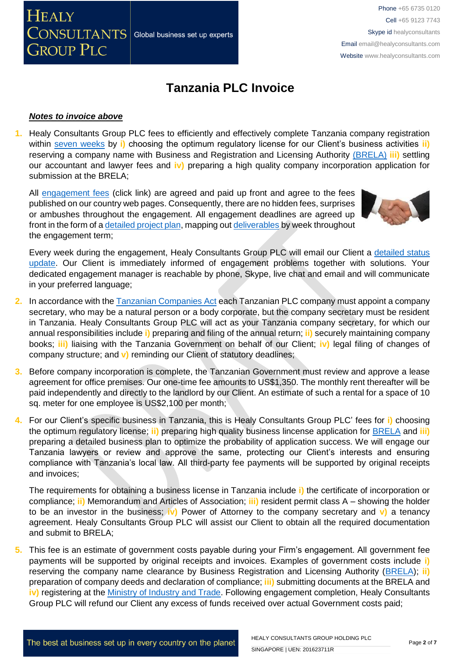### *Notes to invoice above*

CONSULTANTS

**GROUP PLC** 

**HEALY** 

**1.** Healy Consultants Group PLC fees to efficiently and effectively complete Tanzania company registration within [seven weeks](http://www.healyconsultants.com/tanzania-company-registration/fees-timelines/#timelines) by **i)** choosing the optimum regulatory license for our Client's business activities **ii)** reserving a company name with Business and Registration and Licensing Authority [\(BRELA\)](http://www.brela.go.tz/index.php/business/about) **iii)** settling our accountant and lawyer fees and **iv)** preparing a high quality company incorporation application for submission at the BRELA;

All [engagement fees](http://www.healyconsultants.com/company-registration-fees/) (click link) are agreed and paid up front and agree to the fees published on our country web pages. Consequently, there are no hidden fees, surprises or ambushes throughout the engagement. All engagement deadlines are agreed up front in the form of [a detailed project plan,](http://www.healyconsultants.com/index-important-links/example-project-plan/) mapping out [deliverables](http://www.healyconsultants.com/deliverables-to-our-clients/) by week throughout the engagement term;

Global business set up experts



Every week during the engagement, Healy Consultants Group PLC will email our Client a [detailed status](http://www.healyconsultants.com/index-important-links/weekly-engagement-status-email/)  [update.](http://www.healyconsultants.com/index-important-links/weekly-engagement-status-email/) Our Client is immediately informed of engagement problems together with solutions. Your dedicated engagement manager is reachable by phone, Skype, live chat and email and will communicate in your preferred language;

- **2.** In accordance with the [Tanzanian Companies Act](http://www.rita.go.tz/eng/laws/Companies%20Act..pdf) each Tanzanian PLC company must appoint a company secretary, who may be a natural person or a body corporate, but the company secretary must be resident in Tanzania. Healy Consultants Group PLC will act as your Tanzania company secretary, for which our annual responsibilities include **i)** preparing and filing of the annual return; **ii)** securely maintaining company books; **iii)** liaising with the Tanzania Government on behalf of our Client; **iv)** legal filing of changes of company structure; and **v)** reminding our Client of statutory deadlines;
- **3.** Before company incorporation is complete, the Tanzanian Government must review and approve a lease agreement for office premises. Our one-time fee amounts to US\$1,350. The monthly rent thereafter will be paid independently and directly to the landlord by our Client. An estimate of such a rental for a space of 10 sq. meter for one employee is US\$2,100 per month;
- **4.** For our Client's specific business in Tanzania, this is Healy Consultants Group PLC' fees for **i)** choosing the optimum regulatory license; **ii)** preparing high quality business lincense application for [BRELA](http://www.brela.go.tz/) and **iii)** preparing a detailed business plan to optimize the probability of application success. We will engage our Tanzania lawyers or review and approve the same, protecting our Client's interests and ensuring compliance with Tanzania's local law. All third-party fee payments will be supported by original receipts and invoices;

The requirements for obtaining a business license in Tanzania include **i)** the certificate of incorporation or compliance; **ii)** Memorandum and Articles of Association; **iii)** resident permit class A – showing the holder to be an investor in the business; **iv)** Power of Attorney to the company secretary and **v)** a tenancy agreement. Healy Consultants Group PLC will assist our Client to obtain all the required documentation and submit to BRELA;

**5.** This fee is an estimate of government costs payable during your Firm's engagement. All government fee payments will be supported by original receipts and invoices. Examples of government costs include **i)** reserving the company name clearance by Business Registration and Licensing Authority [\(BRELA\)](http://www.brela.go.tz/); **ii)** preparation of company deeds and declaration of compliance; **iii)** submitting documents at the BRELA and iv) registering at the [Ministry of Industry and Trade.](http://www.mit.go.tz/) Following engagement completion, Healy Consultants Group PLC will refund our Client any excess of funds received over actual Government costs paid;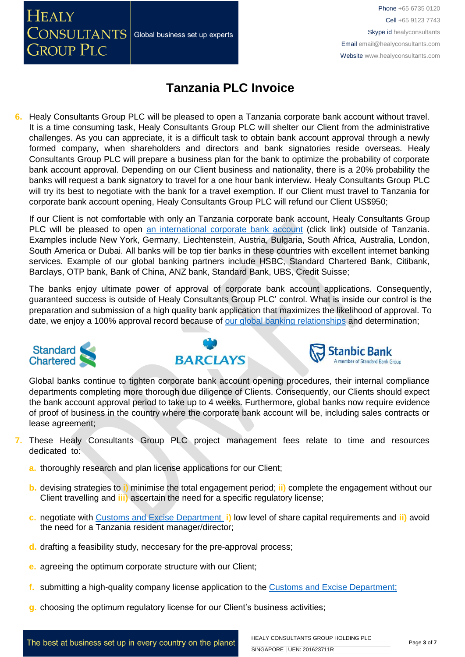**HEALY**  $\sqrt{\text{CNNULTANTS}}$  Global business set up experts **GROUP PLC** 

Phone +65 6735 0120 Cell +65 9123 7743 Skype id healyconsultants Email [email@healyconsultants.com](mailto:EMAIL@HEALYCONSULTANTS.COM) Website [www.healyconsultants.com](http://www.healyconsultants.com/)

# **Tanzania PLC Invoice**

**6.** Healy Consultants Group PLC will be pleased to open a Tanzania corporate bank account without travel. It is a time consuming task, Healy Consultants Group PLC will shelter our Client from the administrative challenges. As you can appreciate, it is a difficult task to obtain bank account approval through a newly formed company, when shareholders and directors and bank signatories reside overseas. Healy Consultants Group PLC will prepare a business plan for the bank to optimize the probability of corporate bank account approval. Depending on our Client business and nationality, there is a 20% probability the banks will request a bank signatory to travel for a one hour bank interview. Healy Consultants Group PLC will try its best to negotiate with the bank for a travel exemption. If our Client must travel to Tanzania for corporate bank account opening, Healy Consultants Group PLC will refund our Client US\$950;

If our Client is not comfortable with only an Tanzania corporate bank account, Healy Consultants Group PLC will be pleased to open [an international corporate bank account](http://www.healyconsultants.com/international-banking/) (click link) outside of Tanzania. Examples include New York, Germany, Liechtenstein, Austria, Bulgaria, South Africa, Australia, London, South America or Dubai. All banks will be top tier banks in these countries with excellent internet banking services. Example of our global banking partners include HSBC, Standard Chartered Bank, Citibank, Barclays, OTP bank, Bank of China, ANZ bank, Standard Bank, UBS, Credit Suisse;

The banks enjoy ultimate power of approval of corporate bank account applications. Consequently, guaranteed success is outside of Healy Consultants Group PLC' control. What is inside our control is the preparation and submission of a high quality bank application that maximizes the likelihood of approval. To date, we enjoy a 100% approval record because of [our global banking relationships](http://www.healyconsultants.com/international-banking/corporate-accounts/) and determination;







Global banks continue to tighten corporate bank account opening procedures, their internal compliance departments completing more thorough due diligence of Clients. Consequently, our Clients should expect the bank account approval period to take up to 4 weeks. Furthermore, global banks now require evidence of proof of business in the country where the corporate bank account will be, including sales contracts or lease agreement;

- **7.** These Healy Consultants Group PLC project management fees relate to time and resources dedicated to:
	- **a.** thoroughly research and plan license applications for our Client;
	- **b.** devising strategies to **i)** minimise the total engagement period; **ii)** complete the engagement without our Client travelling and **iii)** ascertain the need for a specific regulatory license;
	- **c.** negotiate with [Customs and Excise Department](http://www.tra.go.tz/index.php/excise-duty) **i)** low level of share capital requirements and **ii)** avoid the need for a Tanzania resident manager/director;
	- **d.** drafting a feasibility study, neccesary for the pre-approval process;
	- **e.** agreeing the optimum corporate structure with our Client;
	- **f.** submitting a high-quality company license application to the [Customs and Excise Department](http://www.tra.go.tz/index.php/excise-duty);
	- **g.** choosing the optimum regulatory license for our Client's business activities;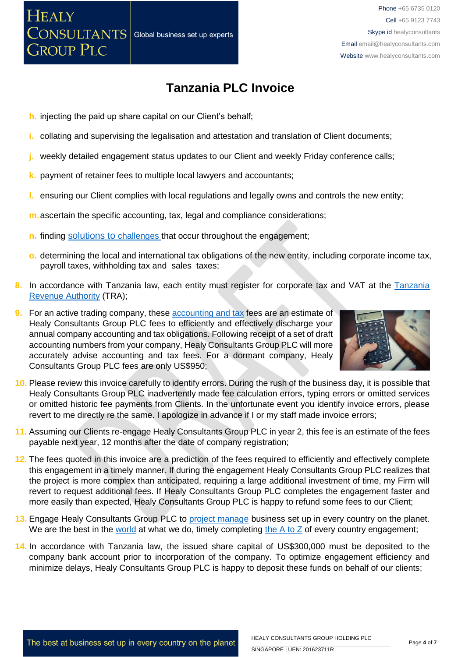**h.** injecting the paid up share capital on our Client's behalf;

**HEALY** 

 $\sqrt{\text{CONSULTANTS}}$ 

**GROUP PLC** 

- **i.** collating and supervising the legalisation and attestation and translation of Client documents;
- **j.** weekly detailed engagement status updates to our Client and weekly Friday conference calls;
- **k.** payment of retainer fees to multiple local lawyers and accountants;
- **l.** ensuring our Client complies with local regulations and legally owns and controls the new entity;
- **m.**ascertain the specific accounting, tax, legal and compliance considerations;

Global business set up experts

- **n.** finding solutions to [challenges that occur](https://www.healyconsultants.com/engagement-project-management/) throughout the engagement;
- **o.** determining the local and international tax obligations of the new entity, including corporate income tax, payroll taxes, withholding tax and sales taxes;
- 8. In accordance with [Tanzania](http://www.tra.go.tz/) law, each entity must register for corporate tax and VAT at the Tanzania [Revenue Authority](http://www.tra.go.tz/) (TRA);
- **9.** For an active trading company, these [accounting and tax](http://www.healyconsultants.com/tanzania-company-registration/accounting-legal/) fees are an estimate of Healy Consultants Group PLC fees to efficiently and effectively discharge your annual company accounting and tax obligations. Following receipt of a set of draft accounting numbers from your company, Healy Consultants Group PLC will more accurately advise accounting and tax fees. For a dormant company, Healy Consultants Group PLC fees are only US\$950;



- **10.** Please review this invoice carefully to identify errors. During the rush of the business day, it is possible that Healy Consultants Group PLC inadvertently made fee calculation errors, typing errors or omitted services or omitted historic fee payments from Clients. In the unfortunate event you identify invoice errors, please revert to me directly re the same. I apologize in advance if I or my staff made invoice errors;
- **11.** Assuming our Clients re-engage Healy Consultants Group PLC in year 2, this fee is an estimate of the fees payable next year, 12 months after the date of company registration;
- **12.** The fees quoted in this invoice are a prediction of the fees required to efficiently and effectively complete this engagement in a timely manner. If during the engagement Healy Consultants Group PLC realizes that the project is more complex than anticipated, requiring a large additional investment of time, my Firm will revert to request additional fees. If Healy Consultants Group PLC completes the engagement faster and more easily than expected, Healy Consultants Group PLC is happy to refund some fees to our Client;
- **13.** Engage Healy Consultants Group PLC to [project manage](http://www.healyconsultants.com/project-manage-engagements/) business set up in every country on the planet. We are the best in the [world](http://www.healyconsultants.com/best-in-the-world/) at what we do, timely completing the  $A$  to  $Z$  of every country engagement;
- **14.** In accordance with Tanzania law, the issued share capital of US\$300,000 must be deposited to the company bank account prior to incorporation of the company. To optimize engagement efficiency and minimize delays, Healy Consultants Group PLC is happy to deposit these funds on behalf of our clients;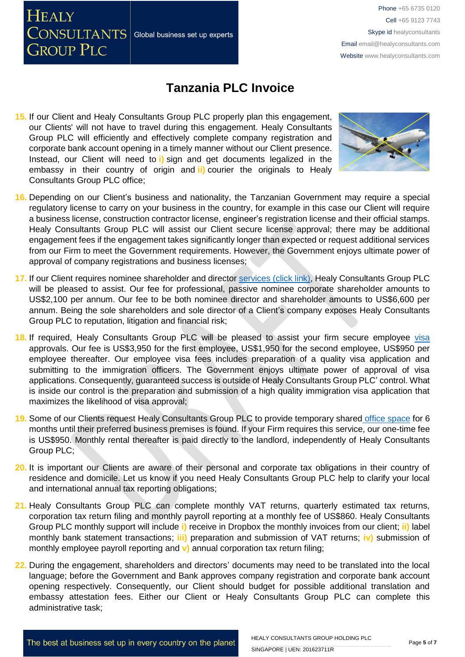Phone +65 6735 0120 Cell +65 9123 7743 Skype id healyconsultants Email [email@healyconsultants.com](mailto:EMAIL@HEALYCONSULTANTS.COM) Website [www.healyconsultants.com](http://www.healyconsultants.com/)

### **Tanzania PLC Invoice**

**15.** If our Client and Healy Consultants Group PLC properly plan this engagement, our Clients' will not have to travel during this engagement. Healy Consultants Group PLC will efficiently and effectively complete company registration and corporate bank account opening in a timely manner without our Client presence. Instead, our Client will need to **i)** sign and get documents legalized in the embassy in their country of origin and **ii)** courier the originals to Healy Consultants Group PLC office;

Global business set up experts

**HEALY** 

CONSULTANTS

**GROUP PLC** 



- **16.** Depending on our Client's business and nationality, the Tanzanian Government may require a special regulatory license to carry on your business in the country, for example in this case our Client will require a business license, construction contractor license, engineer's registration license and their official stamps. Healy Consultants Group PLC will assist our Client secure license approval; there may be additional engagement fees if the engagement takes significantly longer than expected or request additional services from our Firm to meet the Government requirements. However, the Government enjoys ultimate power of approval of company registrations and business licenses;
- **17.** If our Client requires nominee shareholder and director services [\(click link\),](http://www.healyconsultants.com/corporate-outsourcing-services/nominee-shareholders-directors/) Healy Consultants Group PLC will be pleased to assist. Our fee for professional, passive nominee corporate shareholder amounts to US\$2,100 per annum. Our fee to be both nominee director and shareholder amounts to US\$6,600 per annum. Being the sole shareholders and sole director of a Client's company exposes Healy Consultants Group PLC to reputation, litigation and financial risk;
- **18.** If required, Healy Consultants Group PLC will be pleased to assist your firm secure employee [visa](http://www.healyconsultants.com/tanzania-company-registration/formation-support-services/) approvals. Our fee is US\$3,950 for the first employee, US\$1,950 for the second employee, US\$950 per employee thereafter. Our employee visa fees includes preparation of a quality visa application and submitting to the immigration officers. The Government enjoys ultimate power of approval of visa applications. Consequently, guaranteed success is outside of Healy Consultants Group PLC' control. What is inside our control is the preparation and submission of a high quality immigration visa application that maximizes the likelihood of visa approval;
- **19.** Some of our Clients request Healy Consultants Group PLC to provide temporary shared [office space](http://www.healyconsultants.com/virtual-office/) for 6 months until their preferred business premises is found. If your Firm requires this service, our one-time fee is US\$950. Monthly rental thereafter is paid directly to the landlord, independently of Healy Consultants Group PLC;
- **20.** It is important our Clients are aware of their personal and corporate tax obligations in their country of residence and domicile. Let us know if you need Healy Consultants Group PLC help to clarify your local and international annual tax reporting obligations;
- 21. Healy Consultants Group PLC can complete monthly VAT returns, quarterly estimated tax returns, corporation tax return filing and monthly payroll reporting at a monthly fee of US\$860. Healy Consultants Group PLC monthly support will include **i)** receive in Dropbox the monthly invoices from our client; **ii)** label monthly bank statement transactions; **iii)** preparation and submission of VAT returns; **iv)** submission of monthly employee payroll reporting and **v)** annual corporation tax return filing;
- **22.** During the engagement, shareholders and directors' documents may need to be translated into the local language; before the Government and Bank approves company registration and corporate bank account opening respectively. Consequently, our Client should budget for possible additional translation and embassy attestation fees. Either our Client or Healy Consultants Group PLC can complete this administrative task;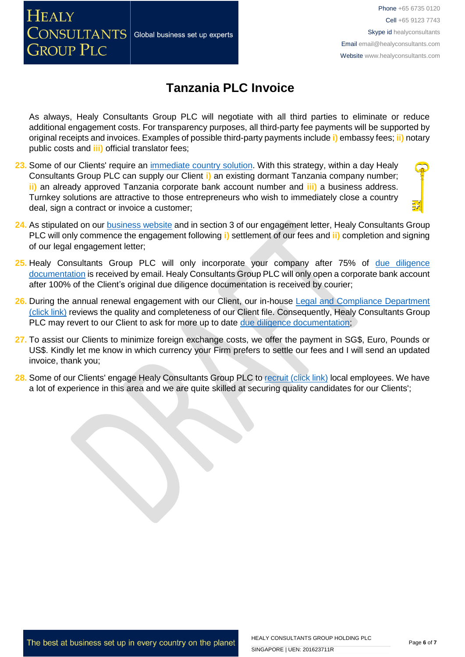Phone +65 6735 0120 Cell +65 9123 7743 Skype id healyconsultants Email [email@healyconsultants.com](mailto:EMAIL@HEALYCONSULTANTS.COM) Website [www.healyconsultants.com](http://www.healyconsultants.com/)

## **Tanzania PLC Invoice**

As always, Healy Consultants Group PLC will negotiate with all third parties to eliminate or reduce additional engagement costs. For transparency purposes, all third-party fee payments will be supported by original receipts and invoices. Examples of possible third-party payments include **i)** embassy fees; **ii)** notary public costs and **iii)** official translator fees;

23. Some of our Clients' require an [immediate country solution.](http://www.healyconsultants.com/turnkey-solutions/) With this strategy, within a day Healy Consultants Group PLC can supply our Client **i)** an existing dormant Tanzania company number; **ii)** an already approved Tanzania corporate bank account number and **iii)** a business address. Turnkey solutions are attractive to those entrepreneurs who wish to immediately close a country deal, sign a contract or invoice a customer;

Global business set up experts

**HEALY** 

 $\overline{\text{CONSULTANTS}}|$ 

**GROUP PLC** 

- 24. As stipulated on our **business website** and in section 3 of our engagement letter, Healy Consultants Group PLC will only commence the engagement following **i)** settlement of our fees and **ii)** completion and signing of our legal engagement letter;
- **25.** Healy Consultants Group PLC will only incorporate your company after 75% of [due diligence](http://www.healyconsultants.com/due-diligence/)  [documentation](http://www.healyconsultants.com/due-diligence/) is received by email. Healy Consultants Group PLC will only open a corporate bank account after 100% of the Client's original due diligence documentation is received by courier;
- 26. During the annual renewal engagement with our Client, our in-house Legal and Compliance Department [\(click link\)](http://www.healyconsultants.com/about-us/key-personnel/cai-xin-profile/) reviews the quality and completeness of our Client file. Consequently, Healy Consultants Group PLC may revert to our Client to ask for more up to date [due diligence documentation;](http://www.healyconsultants.com/due-diligence/)
- **27.** To assist our Clients to minimize foreign exchange costs, we offer the payment in SG\$, Euro, Pounds or US\$. Kindly let me know in which currency your Firm prefers to settle our fees and I will send an updated invoice, thank you;
- **28.** Some of our Clients' engage Healy Consultants Group PLC t[o recruit \(click link\)](http://www.healyconsultants.com/corporate-outsourcing-services/how-we-help-our-clients-recruit-quality-employees/) local employees. We have a lot of experience in this area and we are quite skilled at securing quality candidates for our Clients';